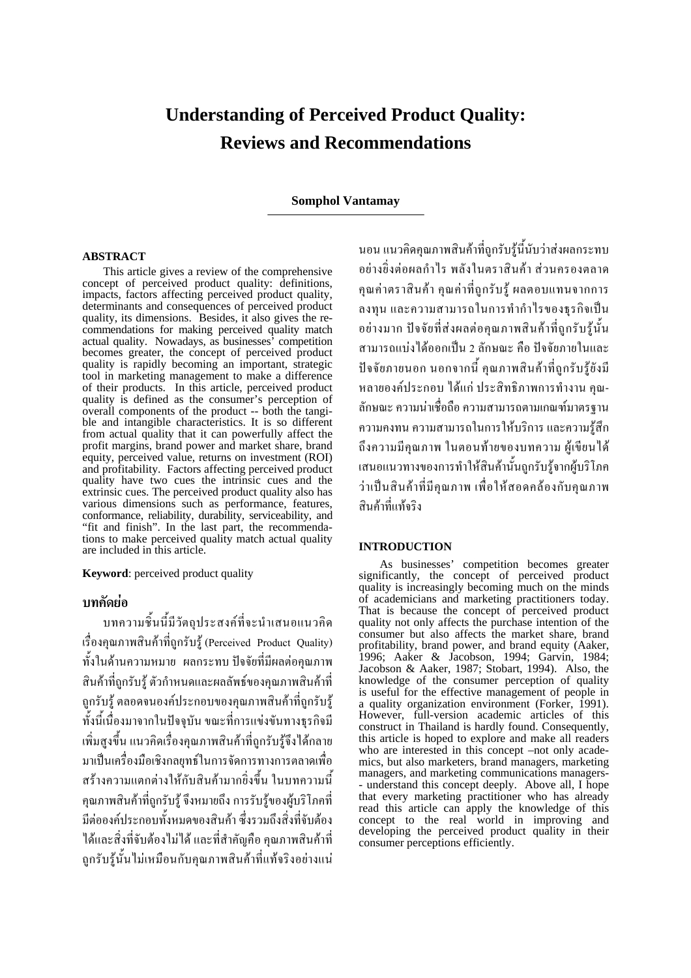# **Understanding of Perceived Product Quality: Reviews and Recommendations**

# **Somphol Vantamay**

#### **ABSTRACT**

This article gives a review of the comprehensive concept of perceived product quality: definitions, impacts, factors affecting perceived product quality, determinants and consequences of perceived product quality, its dimensions. Besides, it also gives the recommendations for making perceived quality match actual quality. Nowadays, as businesses' competition becomes greater, the concept of perceived product quality is rapidly becoming an important, strategic tool in marketing management to make a difference of their products. In this article, perceived product quality is defined as the consumer's perception of overall components of the product -- both the tangible and intangible characteristics. It is so different from actual quality that it can powerfully affect the profit margins, brand power and market share, brand equity, perceived value, returns on investment (ROI) and profitability. Factors affecting perceived product quality have two cues the intrinsic cues and the extrinsic cues. The perceived product quality also has various dimensions such as performance, features, conformance, reliability, durability, serviceability, and "fit and finish". In the last part, the recommendations to make perceived quality match actual quality are included in this article.

**Keyword**: perceived product quality

# **บทคัดยอ**

บทความชิ้นนี้มีวัตถุประสงคที่จะนําเสนอแนวคิด เรื่องคุณภาพสินค้าที่ถูกรับร้ (Perceived Product Quality) ทั้งในดานความหมาย ผลกระทบ ปจจัยที่มีผลตอคุณภาพ ้สินค้าที่ถูกรับร้ ตัวกำหนดและผลลัพธ์ของคุณภาพสินค้าที่ ถูกรับรู้ ตลอดจนองค์ประกอบของคุณภาพสินค้าที่ถูกรับรู้ ทั้งนี้เนื่องมาจากในปจจุบัน ขณะที่การแขงขันทางธุรกิจมี เพิ่มสูงขึ้น แนวคิดเร่ืองคุณภาพสินคาที่ถูกรับรูจึงไดกลาย มาเปนเครื่องมือเชิงกลยุทธในการจัดการทางการตลาดเพื่อ ิสร้างความแตกต่างให้กับสินค้ามากยิ่งขึ้น ในบทความนี้ ึ คุณภาพสินค้าที่ถูกรับร้ จึงหมายถึง การรับร้งองผ้บริโภคที่ มีต่อองค์ประกอบทั้งหมดของสินค้า ซึ่งรวมถึงสิ่งที่จับต้อง ได้และสิ่งที่จับต้องไม่ได้ และที่สำคัญคือ คุณภาพสินค้าที่ ถูกรับรูนั้นไมเหมือนกับคุณภาพสินคาที่แทจริงอยางแน

นอน แนวคิดคุณภาพสินคาที่ถูกรับรูนี้นับวาสงผลกระทบ อยางยิ่งตอผลกําไร พลังในตราสินคา สวนครองตลาด คุณค่าตราสินค้า คุณค่าที่ถูกรับร้ ผลตอบแทนจากการ ลงทุน และความสามารถในการทำกำไรของธุรกิจเป็น อยางมาก ปจจัยที่สงผลตอคุณภาพสินคาที่ถูกรับรูนั้น สามารถแบงไดออกเปน 2 ลักษณะ คือ ปจจัยภายในและ ปจจัยภายนอก นอกจากนี้คุณภาพสินคาที่ถูกรับรูยังมี หลายองคประกอบ ไดแก ประสิทธิภาพการทํางาน คุณ-ลักษณะความนาเชื่อถือความสามารถตามเกณฑมาตรฐาน ความคงทน ความสามารถในการใหบริการและความรูสึก ถึงความมีคุณภาพ ในตอนทายของบทความ ผูเขียนได เสนอแนวทางของการทําใหสินคานั้นถูกรับรูจากผูบริโภค ว่าเป็นสินค้าที่มีคุณภาพ เพื่อให้สอดคล้องกับคุณภาพ สินคาที่แทจริง

# **INTRODUCTION**

As businesses' competition becomes greater significantly, the concept of perceived product quality is increasingly becoming much on the minds of academicians and marketing practitioners today. That is because the concept of perceived product quality not only affects the purchase intention of the consumer but also affects the market share, brand profitability, brand power, and brand equity (Aaker, 1996; Aaker & Jacobson, 1994; Garvin, 1984; Jacobson & Aaker, 1987; Stobart, 1994). Also, the knowledge of the consumer perception of quality is useful for the effective management of people in a quality organization environment (Forker, 1991). However, full-version academic articles of this construct in Thailand is hardly found. Consequently, this article is hoped to explore and make all readers who are interested in this concept –not only academics, but also marketers, brand managers, marketing managers, and marketing communications managers- - understand this concept deeply. Above all, I hope that every marketing practitioner who has already read this article can apply the knowledge of this concept to the real world in improving and developing the perceived product quality in their consumer perceptions efficiently.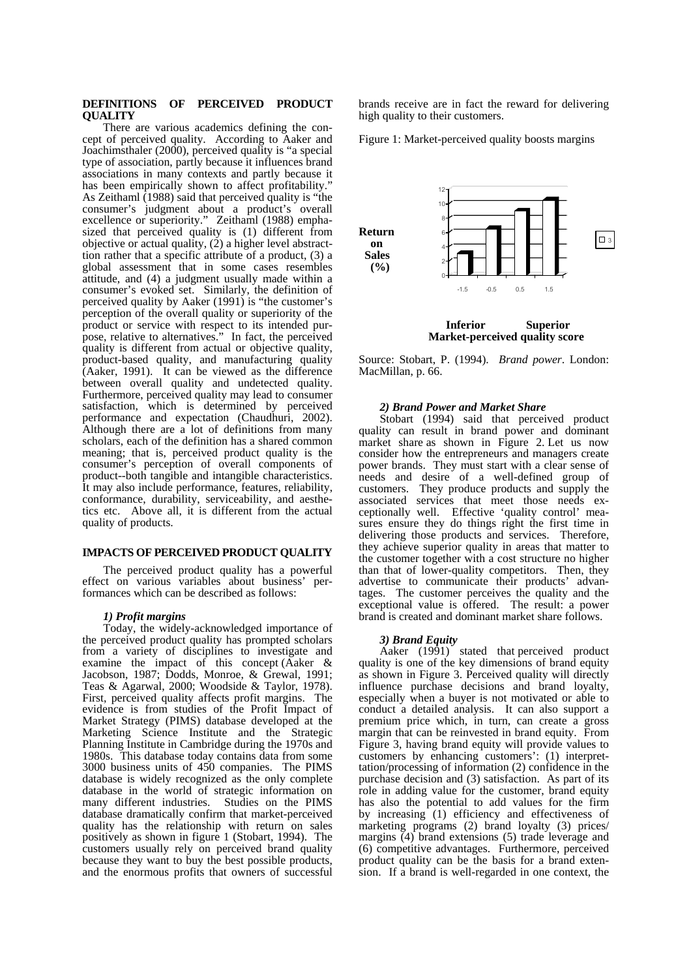#### **DEFINITIONS OF PERCEIVED PRODUCT QUALITY**

There are various academics defining the concept of perceived quality. According to Aaker and Joachimsthaler (2000), perceived quality is "a special type of association, partly because it influences brand associations in many contexts and partly because it has been empirically shown to affect profitability." As Zeithaml (1988) said that perceived quality is "the consumer's judgment about a product's overall excellence or superiority." Zeithaml (1988) emphasized that perceived quality is (1) different from objective or actual quality, (2) a higher level abstracttion rather that a specific attribute of a product, (3) a global assessment that in some cases resembles attitude, and (4) a judgment usually made within a consumer's evoked set. Similarly, the definition of perceived quality by Aaker (1991) is "the customer's perception of the overall quality or superiority of the product or service with respect to its intended purpose, relative to alternatives." In fact, the perceived quality is different from actual or objective quality, product-based quality, and manufacturing quality (Aaker, 1991). It can be viewed as the difference between overall quality and undetected quality. Furthermore, perceived quality may lead to consumer satisfaction, which is determined by perceived performance and expectation (Chaudhuri, 2002). Although there are a lot of definitions from many scholars, each of the definition has a shared common meaning; that is, perceived product quality is the consumer's perception of overall components of product--both tangible and intangible characteristics. It may also include performance, features, reliability, conformance, durability, serviceability, and aesthetics etc. Above all, it is different from the actual quality of products.

## **IMPACTS OF PERCEIVED PRODUCT QUALITY**

The perceived product quality has a powerful effect on various variables about business' performances which can be described as follows:

## *1) Profit margins*

Today, the widely-acknowledged importance of the perceived product quality has prompted scholars from a variety of disciplines to investigate and examine the impact of this concept (Aaker & Jacobson, 1987; Dodds, Monroe, & Grewal, 1991; Teas & Agarwal, 2000; Woodside & Taylor, 1978). First, perceived quality affects profit margins. The evidence is from studies of the Profit Impact of Market Strategy (PIMS) database developed at the Marketing Science Institute and the Strategic Planning Institute in Cambridge during the 1970s and 1980s. This database today contains data from some 3000 business units of 450 companies. The PIMS database is widely recognized as the only complete database in the world of strategic information on many different industries. Studies on the PIMS database dramatically confirm that market-perceived quality has the relationship with return on sales positively as shown in figure 1 (Stobart, 1994). The customers usually rely on perceived brand quality because they want to buy the best possible products, and the enormous profits that owners of successful

brands receive are in fact the reward for delivering high quality to their customers.

Figure 1: Market-perceived quality boosts margins



Source: Stobart, P. (1994). *Brand power*. London: MacMillan, p. 66.

## *2) Brand Power and Market Share*

Stobart (1994) said that perceived product quality can result in brand power and dominant market share as shown in Figure 2. Let us now consider how the entrepreneurs and managers create power brands. They must start with a clear sense of needs and desire of a well-defined group of customers. They produce products and supply the associated services that meet those needs exceptionally well. Effective 'quality control' measures ensure they do things right the first time in delivering those products and services. Therefore, they achieve superior quality in areas that matter to the customer together with a cost structure no higher than that of lower-quality competitors. Then, they advertise to communicate their products' advantages. The customer perceives the quality and the exceptional value is offered. The result: a power brand is created and dominant market share follows.

## *3) Brand Equity*

Aaker (1991) stated that perceived product quality is one of the key dimensions of brand equity as shown in Figure 3. Perceived quality will directly influence purchase decisions and brand loyalty, especially when a buyer is not motivated or able to conduct a detailed analysis. It can also support a premium price which, in turn, can create a gross margin that can be reinvested in brand equity. From Figure 3, having brand equity will provide values to customers by enhancing customers': (1) interprettation/processing of information (2) confidence in the purchase decision and (3) satisfaction. As part of its role in adding value for the customer, brand equity has also the potential to add values for the firm by increasing (1) efficiency and effectiveness of marketing programs (2) brand loyalty (3) prices/ margins  $(4)$  brand extensions (5) trade leverage and (6) competitive advantages. Furthermore, perceived product quality can be the basis for a brand extension. If a brand is well-regarded in one context, the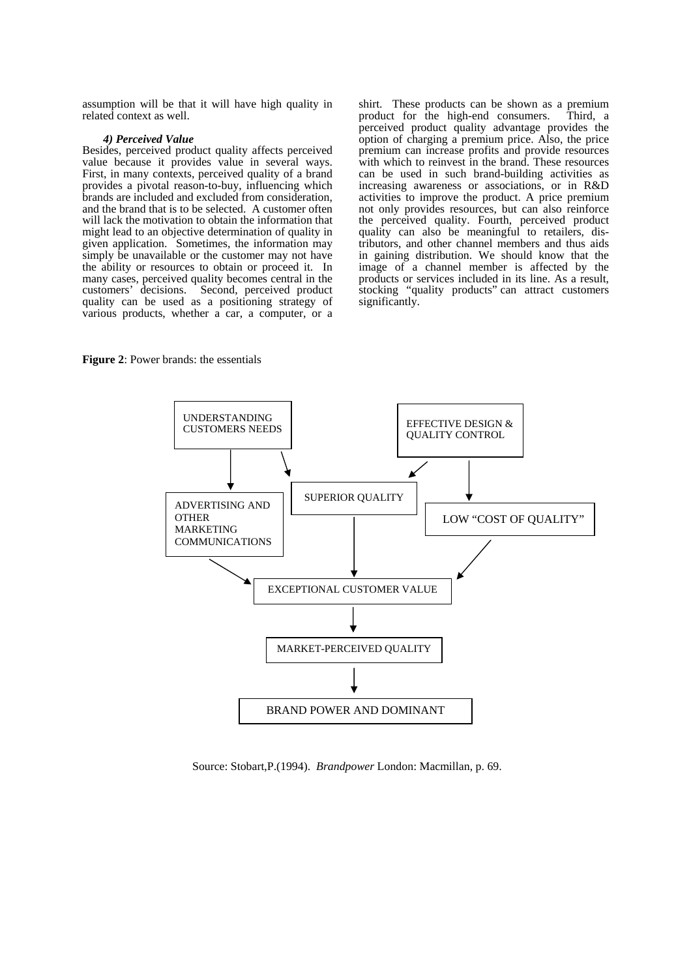assumption will be that it will have high quality in related context as well.

#### *4) Perceived Value*

Besides, perceived product quality affects perceived value because it provides value in several ways. First, in many contexts, perceived quality of a brand provides a pivotal reason-to-buy, influencing which brands are included and excluded from consideration, and the brand that is to be selected. A customer often will lack the motivation to obtain the information that might lead to an objective determination of quality in given application. Sometimes, the information may simply be unavailable or the customer may not have the ability or resources to obtain or proceed it. In many cases, perceived quality becomes central in the customers' decisions. Second, perceived product quality can be used as a positioning strategy of various products, whether a car, a computer, or a

shirt. These products can be shown as a premium product for the high-end consumers. Third, a perceived product quality advantage provides the option of charging a premium price. Also, the price premium can increase profits and provide resources with which to reinvest in the brand. These resources can be used in such brand-building activities as increasing awareness or associations, or in R&D activities to improve the product. A price premium not only provides resources, but can also reinforce the perceived quality. Fourth, perceived product quality can also be meaningful to retailers, distributors, and other channel members and thus aids in gaining distribution. We should know that the image of a channel member is affected by the products or services included in its line. As a result, stocking "quality products" can attract customers significantly.

**Figure 2**: Power brands: the essentials



Source: Stobart,P.(1994). *Brandpower* London: Macmillan, p. 69.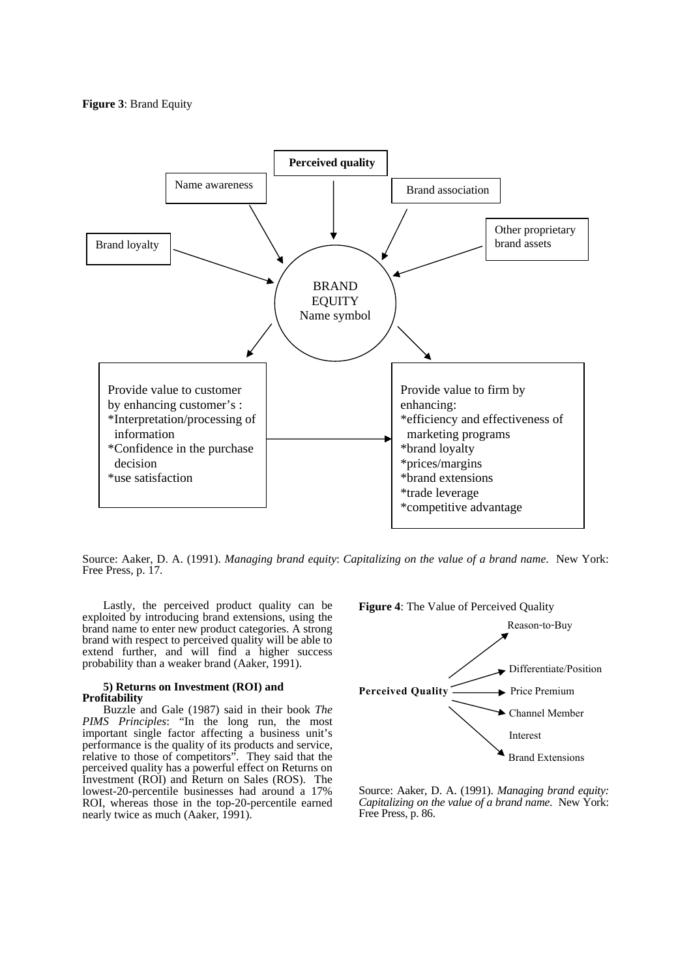

Source: Aaker, D. A. (1991). *Managing brand equity*: *Capitalizing on the value of a brand name*. New York: Free Press, p. 17.

Lastly, the perceived product quality can be exploited by introducing brand extensions, using the brand name to enter new product categories. A strong brand with respect to perceived quality will be able to extend further, and will find a higher success probability than a weaker brand (Aaker, 1991).

#### **5) Returns on Investment (ROI) and Profitability**

Buzzle and Gale (1987) said in their book *The PIMS Principles*: "In the long run, the most important single factor affecting a business unit's performance is the quality of its products and service, relative to those of competitors". They said that the perceived quality has a powerful effect on Returns on Investment (ROI) and Return on Sales (ROS). The lowest-20-percentile businesses had around a 17% ROI, whereas those in the top-20-percentile earned nearly twice as much (Aaker, 1991).



Source: Aaker, D. A. (1991). *Managing brand equity: Capitalizing on the value of a brand name*. New York: Free Press, p. 86.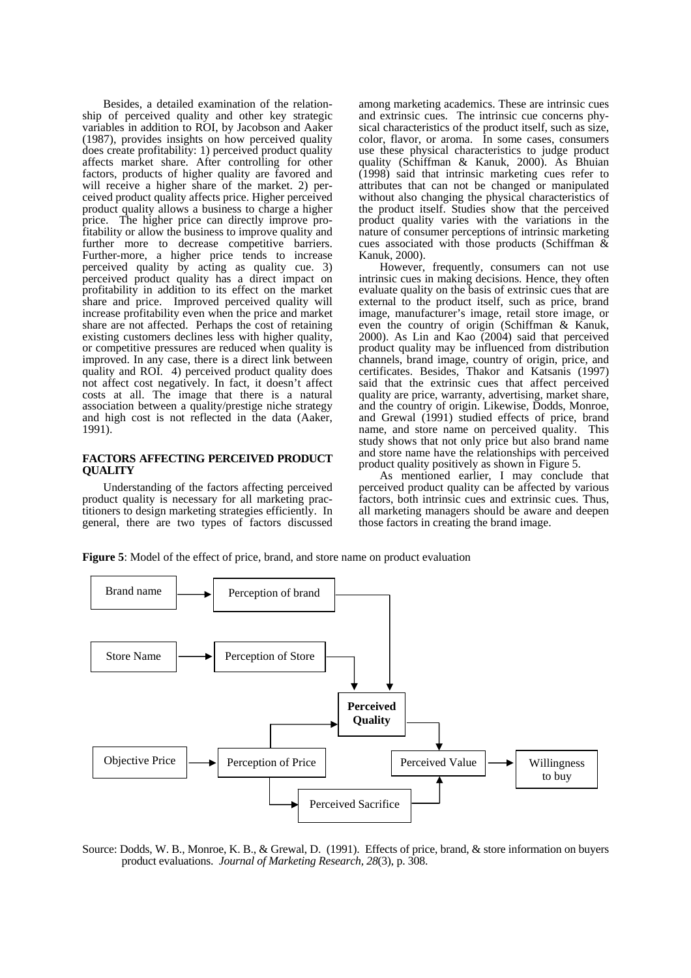Besides, a detailed examination of the relationship of perceived quality and other key strategic variables in addition to ROI, by Jacobson and Aaker (1987), provides insights on how perceived quality does create profitability: 1) perceived product quality affects market share. After controlling for other factors, products of higher quality are favored and will receive a higher share of the market. 2) perceived product quality affects price. Higher perceived product quality allows a business to charge a higher price. The higher price can directly improve profitability or allow the business to improve quality and further more to decrease competitive barriers. Further-more, a higher price tends to increase perceived quality by acting as quality cue. 3) perceived product quality has a direct impact on profitability in addition to its effect on the market share and price. Improved perceived quality will increase profitability even when the price and market share are not affected. Perhaps the cost of retaining existing customers declines less with higher quality, or competitive pressures are reduced when quality is improved. In any case, there is a direct link between quality and ROI. 4) perceived product quality does not affect cost negatively. In fact, it doesn't affect costs at all. The image that there is a natural association between a quality/prestige niche strategy and high cost is not reflected in the data (Aaker, 1991).

#### **FACTORS AFFECTING PERCEIVED PRODUCT QUALITY**

Understanding of the factors affecting perceived product quality is necessary for all marketing practitioners to design marketing strategies efficiently. In general, there are two types of factors discussed

among marketing academics. These are intrinsic cues and extrinsic cues. The intrinsic cue concerns physical characteristics of the product itself, such as size, color, flavor, or aroma. In some cases, consumers use these physical characteristics to judge product quality (Schiffman & Kanuk, 2000). As Bhuian (1998) said that intrinsic marketing cues refer to attributes that can not be changed or manipulated without also changing the physical characteristics of the product itself. Studies show that the perceived product quality varies with the variations in the nature of consumer perceptions of intrinsic marketing cues associated with those products (Schiffman  $\&$ Kanuk, 2000).

However, frequently, consumers can not use intrinsic cues in making decisions. Hence, they often evaluate quality on the basis of extrinsic cues that are external to the product itself, such as price, brand image, manufacturer's image, retail store image, or even the country of origin (Schiffman & Kanuk, 2000). As Lin and Kao (2004) said that perceived product quality may be influenced from distribution channels, brand image, country of origin, price, and certificates. Besides, Thakor and Katsanis (1997) said that the extrinsic cues that affect perceived quality are price, warranty, advertising, market share, and the country of origin. Likewise, Dodds, Monroe, and Grewal (1991) studied effects of price, brand name, and store name on perceived quality. This study shows that not only price but also brand name and store name have the relationships with perceived product quality positively as shown in Figure 5.

As mentioned earlier, I may conclude that perceived product quality can be affected by various factors, both intrinsic cues and extrinsic cues. Thus, all marketing managers should be aware and deepen those factors in creating the brand image.

**Figure 5**: Model of the effect of price, brand, and store name on product evaluation



Source: Dodds, W. B., Monroe, K. B., & Grewal, D. (1991). Effects of price, brand, & store information on buyers product evaluations. *Journal of Marketing Research, 28*(3), p. 308.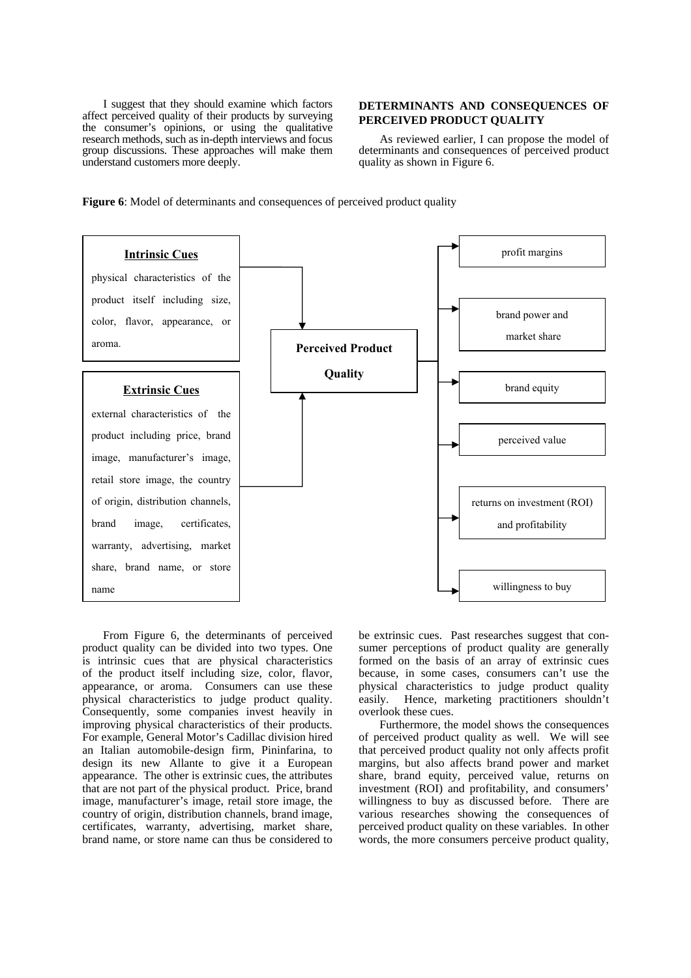I suggest that they should examine which factors affect perceived quality of their products by surveying the consumer's opinions, or using the qualitative research methods, such as in-depth interviews and focus group discussions. These approaches will make them understand customers more deeply.

## **DETERMINANTS AND CONSEQUENCES OF PERCEIVED PRODUCT QUALITY**

As reviewed earlier, I can propose the model of determinants and consequences of perceived product quality as shown in Figure 6.





From Figure 6, the determinants of perceived product quality can be divided into two types. One is intrinsic cues that are physical characteristics of the product itself including size, color, flavor, appearance, or aroma. Consumers can use these physical characteristics to judge product quality. Consequently, some companies invest heavily in improving physical characteristics of their products. For example, General Motor's Cadillac division hired an Italian automobile-design firm, Pininfarina, to design its new Allante to give it a European appearance. The other is extrinsic cues, the attributes that are not part of the physical product. Price, brand image, manufacturer's image, retail store image, the country of origin, distribution channels, brand image, certificates, warranty, advertising, market share, brand name, or store name can thus be considered to be extrinsic cues. Past researches suggest that consumer perceptions of product quality are generally formed on the basis of an array of extrinsic cues because, in some cases, consumers can't use the physical characteristics to judge product quality easily. Hence, marketing practitioners shouldn't overlook these cues.

Furthermore, the model shows the consequences of perceived product quality as well. We will see that perceived product quality not only affects profit margins, but also affects brand power and market share, brand equity, perceived value, returns on investment (ROI) and profitability, and consumers' willingness to buy as discussed before. There are various researches showing the consequences of perceived product quality on these variables. In other words, the more consumers perceive product quality,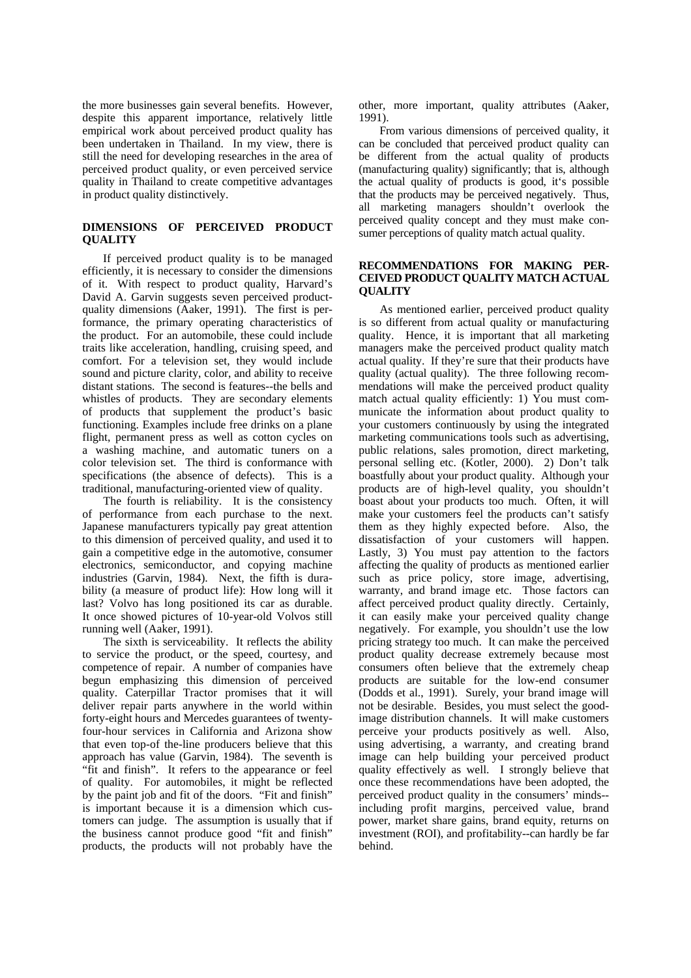the more businesses gain several benefits. However, despite this apparent importance, relatively little empirical work about perceived product quality has been undertaken in Thailand. In my view, there is still the need for developing researches in the area of perceived product quality, or even perceived service quality in Thailand to create competitive advantages in product quality distinctively.

# **DIMENSIONS OF PERCEIVED PRODUCT QUALITY**

If perceived product quality is to be managed efficiently, it is necessary to consider the dimensions of it. With respect to product quality, Harvard's David A. Garvin suggests seven perceived productquality dimensions (Aaker, 1991). The first is performance, the primary operating characteristics of the product. For an automobile, these could include traits like acceleration, handling, cruising speed, and comfort. For a television set, they would include sound and picture clarity, color, and ability to receive distant stations. The second is features--the bells and whistles of products. They are secondary elements of products that supplement the product's basic functioning. Examples include free drinks on a plane flight, permanent press as well as cotton cycles on a washing machine, and automatic tuners on a color television set. The third is conformance with specifications (the absence of defects). This is a traditional, manufacturing-oriented view of quality.

The fourth is reliability. It is the consistency of performance from each purchase to the next. Japanese manufacturers typically pay great attention to this dimension of perceived quality, and used it to gain a competitive edge in the automotive, consumer electronics, semiconductor, and copying machine industries (Garvin, 1984). Next, the fifth is durability (a measure of product life): How long will it last? Volvo has long positioned its car as durable. It once showed pictures of 10-year-old Volvos still running well (Aaker, 1991).

The sixth is serviceability. It reflects the ability to service the product, or the speed, courtesy, and competence of repair. A number of companies have begun emphasizing this dimension of perceived quality. Caterpillar Tractor promises that it will deliver repair parts anywhere in the world within forty-eight hours and Mercedes guarantees of twentyfour-hour services in California and Arizona show that even top-of the-line producers believe that this approach has value (Garvin, 1984). The seventh is "fit and finish". It refers to the appearance or feel of quality. For automobiles, it might be reflected by the paint job and fit of the doors. "Fit and finish" is important because it is a dimension which customers can judge. The assumption is usually that if the business cannot produce good "fit and finish" products, the products will not probably have the other, more important, quality attributes (Aaker, 1991).

From various dimensions of perceived quality, it can be concluded that perceived product quality can be different from the actual quality of products (manufacturing quality) significantly; that is, although the actual quality of products is good, it's possible that the products may be perceived negatively. Thus, all marketing managers shouldn't overlook the perceived quality concept and they must make consumer perceptions of quality match actual quality.

# **RECOMMENDATIONS FOR MAKING PER-CEIVED PRODUCT QUALITY MATCH ACTUAL QUALITY**

As mentioned earlier, perceived product quality is so different from actual quality or manufacturing quality. Hence, it is important that all marketing managers make the perceived product quality match actual quality. If they're sure that their products have quality (actual quality). The three following recommendations will make the perceived product quality match actual quality efficiently: 1) You must communicate the information about product quality to your customers continuously by using the integrated marketing communications tools such as advertising, public relations, sales promotion, direct marketing, personal selling etc. (Kotler, 2000). 2) Don't talk boastfully about your product quality. Although your products are of high-level quality, you shouldn't boast about your products too much. Often, it will make your customers feel the products can't satisfy them as they highly expected before. Also, the dissatisfaction of your customers will happen. Lastly, 3) You must pay attention to the factors affecting the quality of products as mentioned earlier such as price policy, store image, advertising, warranty, and brand image etc. Those factors can affect perceived product quality directly. Certainly, it can easily make your perceived quality change negatively. For example, you shouldn't use the low pricing strategy too much. It can make the perceived product quality decrease extremely because most consumers often believe that the extremely cheap products are suitable for the low-end consumer (Dodds et al., 1991). Surely, your brand image will not be desirable. Besides, you must select the goodimage distribution channels. It will make customers perceive your products positively as well. Also, using advertising, a warranty, and creating brand image can help building your perceived product quality effectively as well. I strongly believe that once these recommendations have been adopted, the perceived product quality in the consumers' minds- including profit margins, perceived value, brand power, market share gains, brand equity, returns on investment (ROI), and profitability--can hardly be far behind.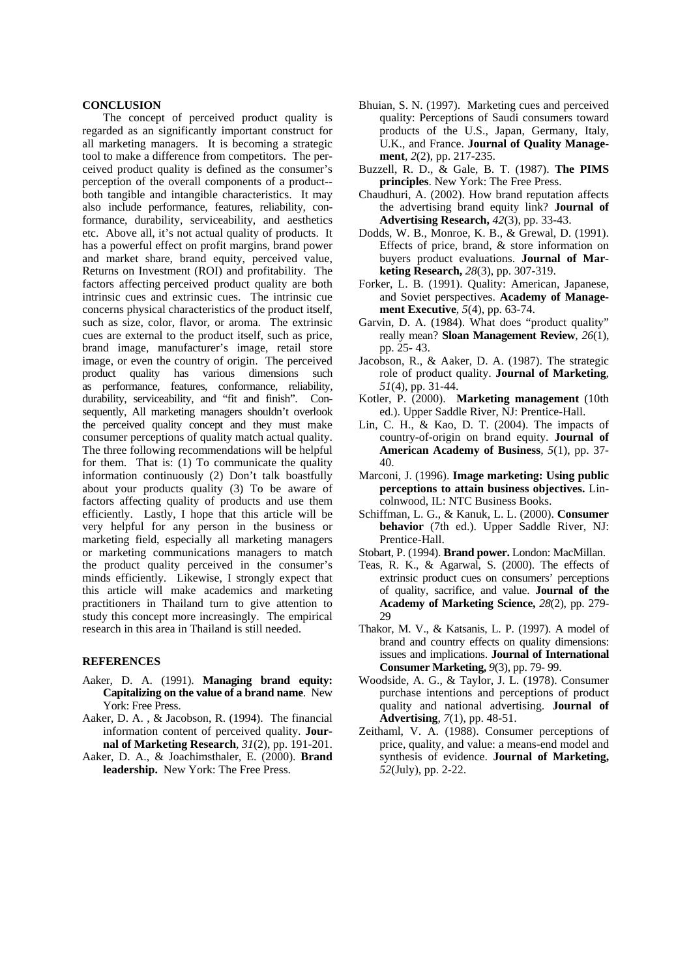#### **CONCLUSION**

The concept of perceived product quality is regarded as an significantly important construct for all marketing managers. It is becoming a strategic tool to make a difference from competitors. The perceived product quality is defined as the consumer's perception of the overall components of a product- both tangible and intangible characteristics. It may also include performance, features, reliability, conformance, durability, serviceability, and aesthetics etc. Above all, it's not actual quality of products. It has a powerful effect on profit margins, brand power and market share, brand equity, perceived value, Returns on Investment (ROI) and profitability. The factors affecting perceived product quality are both intrinsic cues and extrinsic cues. The intrinsic cue concerns physical characteristics of the product itself, such as size, color, flavor, or aroma. The extrinsic cues are external to the product itself, such as price, brand image, manufacturer's image, retail store image, or even the country of origin. The perceived product quality has various dimensions such as performance, features, conformance, reliability, durability, serviceability, and "fit and finish". Consequently, All marketing managers shouldn't overlook the perceived quality concept and they must make consumer perceptions of quality match actual quality. The three following recommendations will be helpful for them. That is: (1) To communicate the quality information continuously (2) Don't talk boastfully about your products quality (3) To be aware of factors affecting quality of products and use them efficiently. Lastly, I hope that this article will be very helpful for any person in the business or marketing field, especially all marketing managers or marketing communications managers to match the product quality perceived in the consumer's minds efficiently. Likewise, I strongly expect that this article will make academics and marketing practitioners in Thailand turn to give attention to study this concept more increasingly. The empirical research in this area in Thailand is still needed.

## **REFERENCES**

- Aaker, D. A. (1991). **Managing brand equity: Capitalizing on the value of a brand name**. New York: Free Press.
- Aaker, D. A. , & Jacobson, R. (1994). The financial information content of perceived quality. **Journal of Marketing Research***, 31*(2), pp. 191-201.
- Aaker, D. A., & Joachimsthaler, E. (2000). **Brand leadership.** New York: The Free Press.
- Bhuian, S. N. (1997). Marketing cues and perceived quality: Perceptions of Saudi consumers toward products of the U.S., Japan, Germany, Italy, U.K., and France. **Journal of Quality Management***, 2*(2), pp. 217-235.
- Buzzell, R. D., & Gale, B. T. (1987). **The PIMS principles**. New York: The Free Press.
- Chaudhuri, A. (2002). How brand reputation affects the advertising brand equity link? **Journal of Advertising Research,** *42*(3), pp. 33-43.
- Dodds, W. B., Monroe, K. B., & Grewal, D. (1991). Effects of price, brand, & store information on buyers product evaluations. **Journal of Marketing Research,** *28*(3), pp. 307-319.
- Forker, L. B. (1991). Quality: American, Japanese, and Soviet perspectives. **Academy of Management Executive***, 5*(4), pp. 63-74.
- Garvin, D. A. (1984). What does "product quality" really mean? **Sloan Management Review***, 26*(1), pp. 25- 43.
- Jacobson, R., & Aaker, D. A. (1987). The strategic role of product quality. **Journal of Marketing***, 51*(4), pp. 31-44.
- Kotler, P. (2000). **Marketing management** (10th ed.). Upper Saddle River, NJ: Prentice-Hall.
- Lin, C. H., & Kao, D. T. (2004). The impacts of country-of-origin on brand equity. **Journal of American Academy of Business***, 5*(1), pp. 37- 40.
- Marconi, J. (1996). **Image marketing: Using public perceptions to attain business objectives.** Lincolnwood, IL: NTC Business Books.
- Schiffman, L. G., & Kanuk, L. L. (2000). **Consumer behavior** (7th ed.). Upper Saddle River, NJ: Prentice-Hall.
- Stobart, P. (1994). **Brand power.** London: MacMillan.
- Teas, R. K., & Agarwal, S. (2000). The effects of extrinsic product cues on consumers' perceptions of quality, sacrifice, and value. **Journal of the Academy of Marketing Science,** *28*(2), pp. 279- 29
- Thakor, M. V., & Katsanis, L. P. (1997). A model of brand and country effects on quality dimensions: issues and implications. **Journal of International Consumer Marketing,** *9*(3), pp. 79- 99.
- Woodside, A. G., & Taylor, J. L. (1978). Consumer purchase intentions and perceptions of product quality and national advertising. **Journal of Advertising***, 7*(1), pp. 48-51.
- Zeithaml, V. A. (1988). Consumer perceptions of price, quality, and value: a means-end model and synthesis of evidence. **Journal of Marketing,** *52*(July), pp. 2-22.